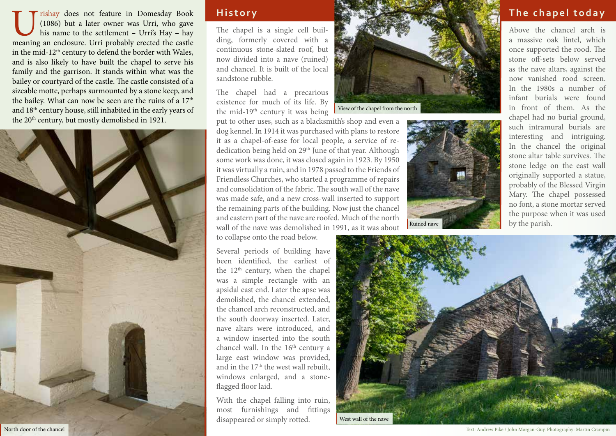Using the Urishay does not feature in Domesday Book (1086) but a later owner was Urri, who gave his name to the settlement – Urri's Hay – hay meaning an enclosure. Urri probably erected the castle (1086) but a later owner was Urri, who gave his name to the settlement – Urri's Hay – hay in the mid-12<sup>th</sup> century to defend the border with Wales, and is also likely to have built the chapel to serve his family and the garrison. It stands within what was the bailey or courtyard of the castle. The castle consisted of a sizeable motte, perhaps surmounted by a stone keep, and the bailey. What can now be seen are the ruins of a  $17<sup>th</sup>$ and 18th century house, still inhabited in the early years of the 20<sup>th</sup> century, but mostly demolished in 1921.



### **History**

The chapel is a single cell building, formerly covered with a continuous stone-slated roof, but now divided into a nave (ruined) and chancel. It is built of the local sandstone rubble.

The chapel had a precarious existence for much of its life. By the mid-19<sup>th</sup> century it was being



put to other uses, such as a blacksmith's shop and even a dog kennel. In 1914 it was purchased with plans to restore it as a chapel-of-ease for local people, a service of rededication being held on 29<sup>th</sup> June of that year. Although some work was done, it was closed again in 1923. By 1950 it was virtually a ruin, and in 1978 passed to the Friends of Friendless Churches, who started a programme of repairs and consolidation of the fabric. The south wall of the nave was made safe, and a new cross-wall inserted to support the remaining parts of the building. Now just the chancel and eastern part of the nave are roofed. Much of the north wall of the nave was demolished in 1991, as it was about

to collapse onto the road below.

Several periods of building have been identified, the earliest of the  $12<sup>th</sup>$  century, when the chapel was a simple rectangle with an apsidal east end. Later the apse was demolished, the chancel extended, the chancel arch reconstructed, and the south doorway inserted. Later, nave altars were introduced, and a window inserted into the south chancel wall. In the 16<sup>th</sup> century a large east window was provided, and in the  $17<sup>th</sup>$  the west wall rebuilt, windows enlarged, and a stoneflagged floor laid.

With the chapel falling into ruin, most furnishings and fittings disappeared or simply rotted.



## **The chapel today**

Above the chancel arch is a massive oak lintel, which once supported the rood. The stone off-sets below served as the nave altars, against the now vanished rood screen. In the 1980s a number of infant burials were found in front of them. As the chapel had no burial ground, such intramural burials are interesting and intriguing. In the chancel the original stone altar table survives. The stone ledge on the east wall originally supported a statue, probably of the Blessed Virgin Mary. The chapel possessed no font, a stone mortar served the purpose when it was used by the parish.



North door of the chancel Text: Andrew Pike / John Morgan-Guy. Photography: Martin Crampin